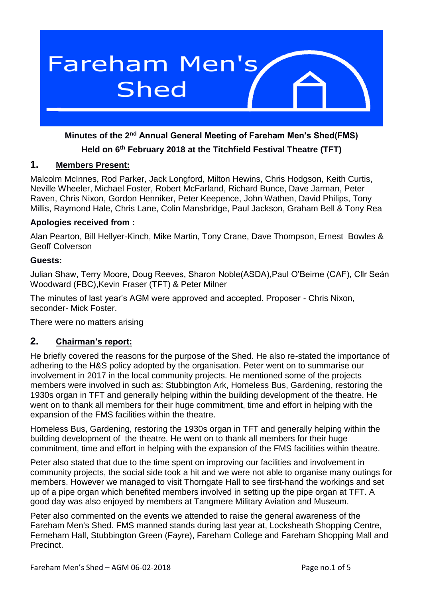

# **Minutes of the 2nd Annual General Meeting of Fareham Men's Shed(FMS)**

### **Held on 6th February 2018 at the Titchfield Festival Theatre (TFT)**

### **1. Members Present:**

Malcolm McInnes, Rod Parker, Jack Longford, Milton Hewins, Chris Hodgson, Keith Curtis, Neville Wheeler, Michael Foster, Robert McFarland, Richard Bunce, Dave Jarman, Peter Raven, Chris Nixon, Gordon Henniker, Peter Keepence, John Wathen, David Philips, Tony Millis, Raymond Hale, Chris Lane, Colin Mansbridge, Paul Jackson, Graham Bell & Tony Rea

#### **Apologies received from :**

Alan Pearton, Bill Hellyer-Kinch, Mike Martin, Tony Crane, Dave Thompson, Ernest Bowles & Geoff Colverson

#### **Guests:**

Julian Shaw, Terry Moore, Doug Reeves, Sharon Noble(ASDA),Paul O'Beirne (CAF), Cllr Seán Woodward (FBC),Kevin Fraser (TFT) & Peter Milner

The minutes of last year's AGM were approved and accepted. Proposer - Chris Nixon, seconder- Mick Foster.

There were no matters arising

### **2. Chairman's report:**

He briefly covered the reasons for the purpose of the Shed. He also re-stated the importance of adhering to the H&S policy adopted by the organisation. Peter went on to summarise our involvement in 2017 in the local community projects. He mentioned some of the projects members were involved in such as: Stubbington Ark, Homeless Bus, Gardening, restoring the 1930s organ in TFT and generally helping within the building development of the theatre. He went on to thank all members for their huge commitment, time and effort in helping with the expansion of the FMS facilities within the theatre.

Homeless Bus, Gardening, restoring the 1930s organ in TFT and generally helping within the building development of the theatre. He went on to thank all members for their huge commitment, time and effort in helping with the expansion of the FMS facilities within theatre.

Peter also stated that due to the time spent on improving our facilities and involvement in community projects, the social side took a hit and we were not able to organise many outings for members. However we managed to visit Thorngate Hall to see first-hand the workings and set up of a pipe organ which benefited members involved in setting up the pipe organ at TFT. A good day was also enjoyed by members at Tangmere Military Aviation and Museum.

Peter also commented on the events we attended to raise the general awareness of the Fareham Men's Shed. FMS manned stands during last year at, Locksheath Shopping Centre, Ferneham Hall, Stubbington Green (Fayre), Fareham College and Fareham Shopping Mall and **Precinct**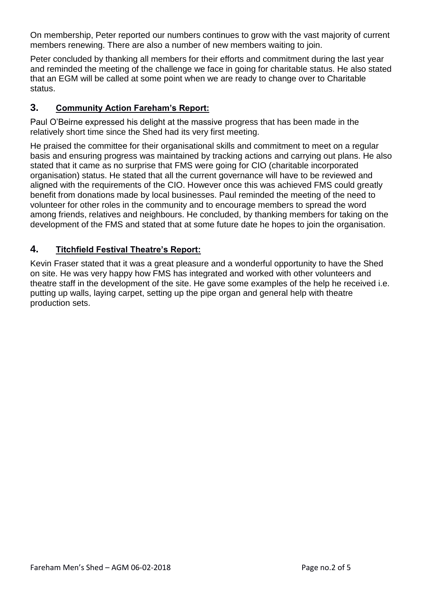On membership, Peter reported our numbers continues to grow with the vast majority of current members renewing. There are also a number of new members waiting to join.

Peter concluded by thanking all members for their efforts and commitment during the last year and reminded the meeting of the challenge we face in going for charitable status. He also stated that an EGM will be called at some point when we are ready to change over to Charitable status.

## **3. Community Action Fareham's Report:**

Paul O'Beirne expressed his delight at the massive progress that has been made in the relatively short time since the Shed had its very first meeting.

He praised the committee for their organisational skills and commitment to meet on a regular basis and ensuring progress was maintained by tracking actions and carrying out plans. He also stated that it came as no surprise that FMS were going for CIO (charitable incorporated organisation) status. He stated that all the current governance will have to be reviewed and aligned with the requirements of the CIO. However once this was achieved FMS could greatly benefit from donations made by local businesses. Paul reminded the meeting of the need to volunteer for other roles in the community and to encourage members to spread the word among friends, relatives and neighbours. He concluded, by thanking members for taking on the development of the FMS and stated that at some future date he hopes to join the organisation.

# **4. Titchfield Festival Theatre's Report:**

Kevin Fraser stated that it was a great pleasure and a wonderful opportunity to have the Shed on site. He was very happy how FMS has integrated and worked with other volunteers and theatre staff in the development of the site. He gave some examples of the help he received i.e. putting up walls, laying carpet, setting up the pipe organ and general help with theatre production sets.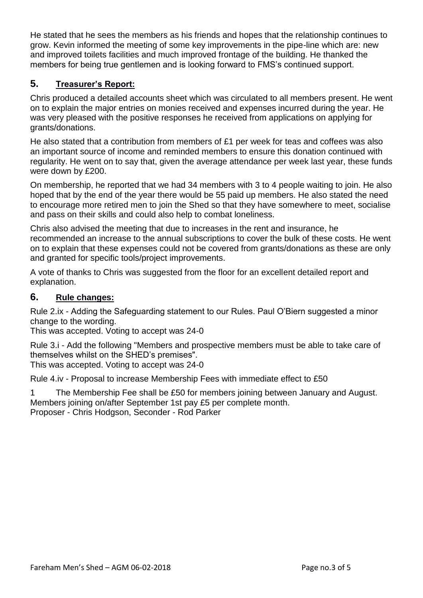He stated that he sees the members as his friends and hopes that the relationship continues to grow. Kevin informed the meeting of some key improvements in the pipe-line which are: new and improved toilets facilities and much improved frontage of the building. He thanked the members for being true gentlemen and is looking forward to FMS's continued support.

# **5. Treasurer's Report:**

Chris produced a detailed accounts sheet which was circulated to all members present. He went on to explain the major entries on monies received and expenses incurred during the year. He was very pleased with the positive responses he received from applications on applying for grants/donations.

He also stated that a contribution from members of £1 per week for teas and coffees was also an important source of income and reminded members to ensure this donation continued with regularity. He went on to say that, given the average attendance per week last year, these funds were down by £200.

On membership, he reported that we had 34 members with 3 to 4 people waiting to join. He also hoped that by the end of the year there would be 55 paid up members. He also stated the need to encourage more retired men to join the Shed so that they have somewhere to meet, socialise and pass on their skills and could also help to combat loneliness.

Chris also advised the meeting that due to increases in the rent and insurance, he recommended an increase to the annual subscriptions to cover the bulk of these costs. He went on to explain that these expenses could not be covered from grants/donations as these are only and granted for specific tools/project improvements.

A vote of thanks to Chris was suggested from the floor for an excellent detailed report and explanation.

### **6. Rule changes:**

Rule 2.ix - Adding the Safeguarding statement to our Rules. Paul O'Biern suggested a minor change to the wording.

This was accepted. Voting to accept was 24-0

Rule 3.i - Add the following "Members and prospective members must be able to take care of themselves whilst on the SHED's premises". This was accepted. Voting to accept was 24-0

Rule 4.iv - Proposal to increase Membership Fees with immediate effect to £50

1 The Membership Fee shall be £50 for members joining between January and August. Members joining on/after September 1st pay £5 per complete month. Proposer - Chris Hodgson, Seconder - Rod Parker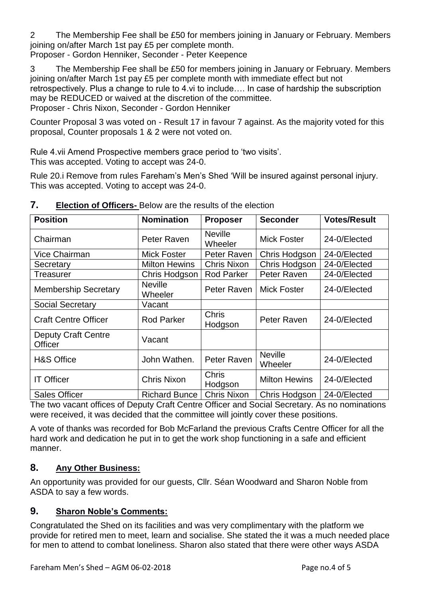2 The Membership Fee shall be £50 for members joining in January or February. Members joining on/after March 1st pay £5 per complete month.

Proposer - Gordon Henniker, Seconder - Peter Keepence

3 The Membership Fee shall be £50 for members joining in January or February. Members joining on/after March 1st pay £5 per complete month with immediate effect but not retrospectively. Plus a change to rule to 4.vi to include…. In case of hardship the subscription may be REDUCED or waived at the discretion of the committee. Proposer - Chris Nixon, Seconder - Gordon Henniker

Counter Proposal 3 was voted on - Result 17 in favour 7 against. As the majority voted for this proposal, Counter proposals 1 & 2 were not voted on.

Rule 4.vii Amend Prospective members grace period to 'two visits'. This was accepted. Voting to accept was 24-0.

Rule 20.i Remove from rules Fareham's Men's Shed 'Will be insured against personal injury. This was accepted. Voting to accept was 24-0.

| <b>Position</b>                | <b>Nomination</b>         | <b>Proposer</b>           | <b>Seconder</b>           | <b>Votes/Result</b> |
|--------------------------------|---------------------------|---------------------------|---------------------------|---------------------|
| Chairman                       | Peter Raven               | <b>Neville</b><br>Wheeler | <b>Mick Foster</b>        | 24-0/Elected        |
| <b>Vice Chairman</b>           | <b>Mick Foster</b>        | Peter Raven               | Chris Hodgson             | 24-0/Elected        |
| Secretary                      | <b>Milton Hewins</b>      | <b>Chris Nixon</b>        | Chris Hodgson             | 24-0/Elected        |
| <b>Treasurer</b>               | Chris Hodgson             | <b>Rod Parker</b>         | Peter Raven               | 24-0/Elected        |
| <b>Membership Secretary</b>    | <b>Neville</b><br>Wheeler | Peter Raven               | <b>Mick Foster</b>        | 24-0/Elected        |
| <b>Social Secretary</b>        | Vacant                    |                           |                           |                     |
| <b>Craft Centre Officer</b>    | <b>Rod Parker</b>         | Chris<br>Hodgson          | Peter Raven               | 24-0/Elected        |
| Deputy Craft Centre<br>Officer | Vacant                    |                           |                           |                     |
| <b>H&amp;S Office</b>          | John Wathen.              | Peter Raven               | <b>Neville</b><br>Wheeler | 24-0/Elected        |
| <b>IT Officer</b>              | <b>Chris Nixon</b>        | Chris<br>Hodgson          | <b>Milton Hewins</b>      | 24-0/Elected        |
| <b>Sales Officer</b>           | <b>Richard Bunce</b>      | <b>Chris Nixon</b>        | Chris Hodgson             | 24-0/Elected        |

### **7. Election of Officers-** Below are the results of the election

The two vacant offices of Deputy Craft Centre Officer and Social Secretary. As no nominations were received, it was decided that the committee will jointly cover these positions.

A vote of thanks was recorded for Bob McFarland the previous Crafts Centre Officer for all the hard work and dedication he put in to get the work shop functioning in a safe and efficient manner.

# **8. Any Other Business:**

An opportunity was provided for our guests, Cllr. Séan Woodward and Sharon Noble from ASDA to say a few words.

# **9. Sharon Noble's Comments:**

Congratulated the Shed on its facilities and was very complimentary with the platform we provide for retired men to meet, learn and socialise. She stated the it was a much needed place for men to attend to combat loneliness. Sharon also stated that there were other ways ASDA